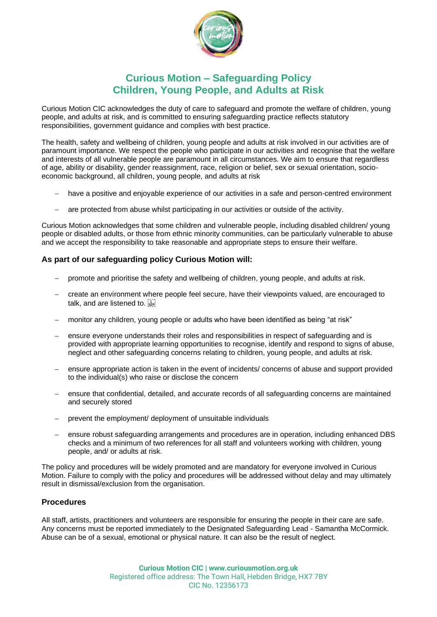

# **Curious Motion – Safeguarding Policy Children, Young People, and Adults at Risk**

Curious Motion CIC acknowledges the duty of care to safeguard and promote the welfare of children, young people, and adults at risk, and is committed to ensuring safeguarding practice reflects statutory responsibilities, government guidance and complies with best practice.

The health, safety and wellbeing of children, young people and adults at risk involved in our activities are of paramount importance. We respect the people who participate in our activities and recognise that the welfare and interests of all vulnerable people are paramount in all circumstances. We aim to ensure that regardless of age, ability or disability, gender reassignment, race, religion or belief, sex or sexual orientation, socioeconomic background, all children, young people, and adults at risk

- have a positive and enjoyable experience of our activities in a safe and person-centred environment
- are protected from abuse whilst participating in our activities or outside of the activity.

Curious Motion acknowledges that some children and vulnerable people, including disabled children/ young people or disabled adults, or those from ethnic minority communities, can be particularly vulnerable to abuse and we accept the responsibility to take reasonable and appropriate steps to ensure their welfare.

# **As part of our safeguarding policy Curious Motion will:**

- − promote and prioritise the safety and wellbeing of children, young people, and adults at risk.
- − create an environment where people feel secure, have their viewpoints valued, are encouraged to talk, and are listened to.
- − monitor any children, young people or adults who have been identified as being "at risk"
- ensure everyone understands their roles and responsibilities in respect of safeguarding and is provided with appropriate learning opportunities to recognise, identify and respond to signs of abuse, neglect and other safeguarding concerns relating to children, young people, and adults at risk.
- ensure appropriate action is taken in the event of incidents/ concerns of abuse and support provided to the individual(s) who raise or disclose the concern
- ensure that confidential, detailed, and accurate records of all safeguarding concerns are maintained and securely stored
- prevent the employment/ deployment of unsuitable individuals
- − ensure robust safeguarding arrangements and procedures are in operation, including enhanced DBS checks and a minimum of two references for all staff and volunteers working with children, young people, and/ or adults at risk.

The policy and procedures will be widely promoted and are mandatory for everyone involved in Curious Motion. Failure to comply with the policy and procedures will be addressed without delay and may ultimately result in dismissal/exclusion from the organisation.

# **Procedures**

All staff, artists, practitioners and volunteers are responsible for ensuring the people in their care are safe. Any concerns must be reported immediately to the Designated Safeguarding Lead - Samantha McCormick. Abuse can be of a sexual, emotional or physical nature. It can also be the result of neglect.

> **Curious Motion CIC | www.curiousmotion.org.uk** Registered office address: The Town Hall, Hebden Bridge, HX7 7BY CIC No. 12356173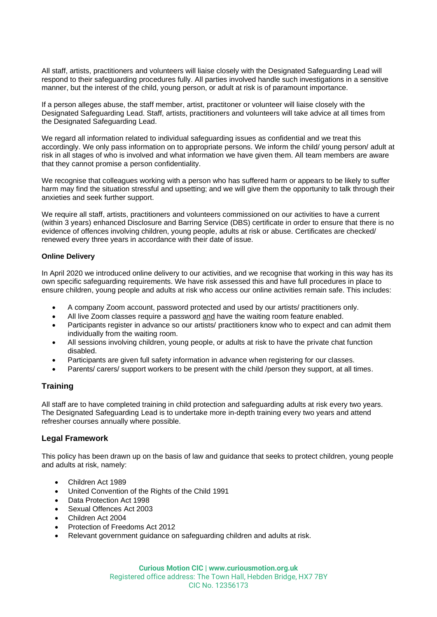All staff, artists, practitioners and volunteers will liaise closely with the Designated Safeguarding Lead will respond to their safeguarding procedures fully. All parties involved handle such investigations in a sensitive manner, but the interest of the child, young person, or adult at risk is of paramount importance.

If a person alleges abuse, the staff member, artist, practitoner or volunteer will liaise closely with the Designated Safeguarding Lead. Staff, artists, practitioners and volunteers will take advice at all times from the Designated Safeguarding Lead.

We regard all information related to individual safeguarding issues as confidential and we treat this accordingly. We only pass information on to appropriate persons. We inform the child/ young person/ adult at risk in all stages of who is involved and what information we have given them. All team members are aware that they cannot promise a person confidentiality.

We recognise that colleagues working with a person who has suffered harm or appears to be likely to suffer harm may find the situation stressful and upsetting; and we will give them the opportunity to talk through their anxieties and seek further support.

We require all staff, artists, practitioners and volunteers commissioned on our activities to have a current (within 3 years) enhanced Disclosure and Barring Service (DBS) certificate in order to ensure that there is no evidence of offences involving children, young people, adults at risk or abuse. Certificates are checked/ renewed every three years in accordance with their date of issue.

#### **Online Delivery**

In April 2020 we introduced online delivery to our activities, and we recognise that working in this way has its own specific safeguarding requirements. We have risk assessed this and have full procedures in place to ensure children, young people and adults at risk who access our online activities remain safe. This includes:

- A company Zoom account, password protected and used by our artists/ practitioners only.
- All live Zoom classes require a password and have the waiting room feature enabled.
- Participants register in advance so our artists/ practitioners know who to expect and can admit them individually from the waiting room.
- All sessions involving children, young people, or adults at risk to have the private chat function disabled.
- Participants are given full safety information in advance when registering for our classes.
- Parents/ carers/ support workers to be present with the child /person they support, at all times.

# **Training**

All staff are to have completed training in child protection and safeguarding adults at risk every two years. The Designated Safeguarding Lead is to undertake more in-depth training every two years and attend refresher courses annually where possible.

# **Legal Framework**

This policy has been drawn up on the basis of law and guidance that seeks to protect children, young people and adults at risk, namely:

- Children Act 1989
- United Convention of the Rights of the Child 1991
- Data Protection Act 1998
- Sexual Offences Act 2003
- Children Act 2004
- Protection of Freedoms Act 2012
- Relevant government guidance on safeguarding children and adults at risk.